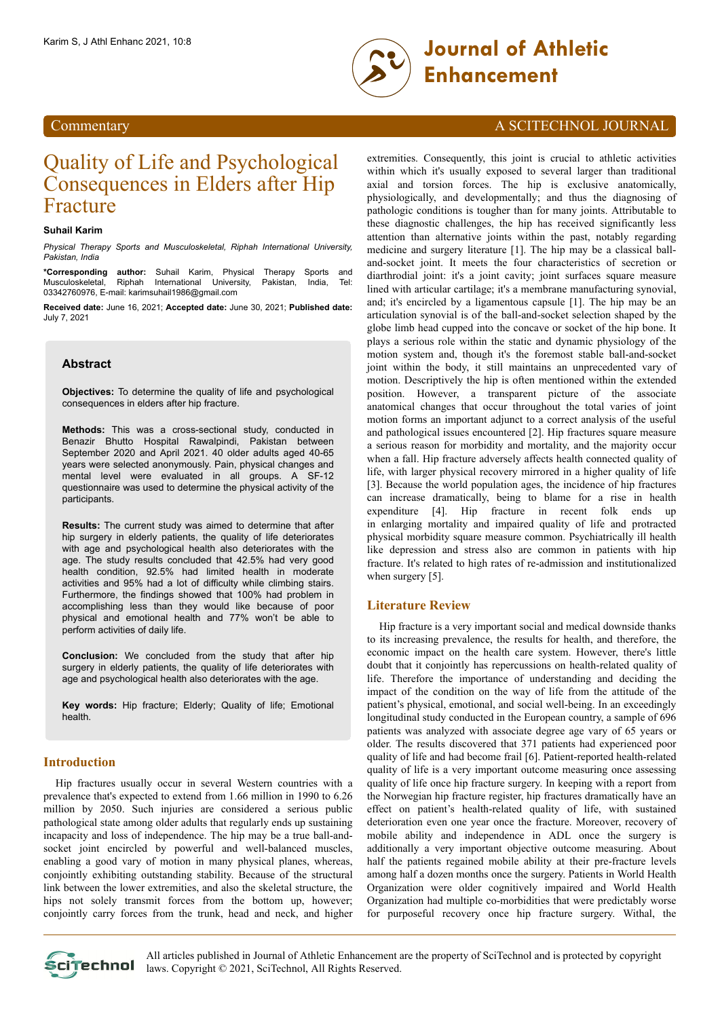

# Quality of Life and Psychological Consequences in Elders after Hip Fracture

#### **Suhail Karim**

*Physical Therapy Sports and Musculoskeletal, Riphah International University, Pakistan, India*

**\*Corresponding author:** Suhail Karim, Physical Therapy Sports and Musculoskeletal, Riphah International University, Pakistan, India, Tel: 03342760976, E-mail: karimsuhail1986@gmail.com

**Received date:** June 16, 2021; **Accepted date:** June 30, 2021; **Published date:** July 7, 2021

# **Abstract**

**Objectives:** To determine the quality of life and psychological consequences in elders after hip fracture.

**Methods:** This was a cross-sectional study, conducted in Benazir Bhutto Hospital Rawalpindi, Pakistan between September 2020 and April 2021. 40 older adults aged 40-65 years were selected anonymously. Pain, physical changes and mental level were evaluated in all groups. A SF-12 questionnaire was used to determine the physical activity of the participants.

**Results:** The current study was aimed to determine that after hip surgery in elderly patients, the quality of life deteriorates with age and psychological health also deteriorates with the age. The study results concluded that 42.5% had very good health condition, 92.5% had limited health in moderate activities and 95% had a lot of difficulty while climbing stairs. Furthermore, the findings showed that 100% had problem in accomplishing less than they would like because of poor physical and emotional health and 77% won't be able to perform activities of daily life.

**Conclusion:** We concluded from the study that after hip surgery in elderly patients, the quality of life deteriorates with age and psychological health also deteriorates with the age.

**Key words:** Hip fracture; Elderly; Quality of life; Emotional health.

# **Introduction**

Hip fractures usually occur in several Western countries with a prevalence that's expected to extend from 1.66 million in 1990 to 6.26 million by 2050. Such injuries are considered a serious public pathological state among older adults that regularly ends up sustaining incapacity and loss of independence. The hip may be a true ball-andsocket joint encircled by powerful and well-balanced muscles, enabling a good vary of motion in many physical planes, whereas, conjointly exhibiting outstanding stability. Because of the structural link between the lower extremities, and also the skeletal structure, the hips not solely transmit forces from the bottom up, however; conjointly carry forces from the trunk, head and neck, and higher

# Commentary A SCITECHNOL JOURNAL

extremities. Consequently, this joint is crucial to athletic activities within which it's usually exposed to several larger than traditional axial and torsion forces. The hip is exclusive anatomically, physiologically, and developmentally; and thus the diagnosing of pathologic conditions is tougher than for many joints. Attributable to these diagnostic challenges, the hip has received significantly less attention than alternative joints within the past, notably regarding medicine and surgery literature [1]. The hip may be a classical balland-socket joint. It meets the four characteristics of secretion or diarthrodial joint: it's a joint cavity; joint surfaces square measure lined with articular cartilage; it's a membrane manufacturing synovial, and; it's encircled by a ligamentous capsule [1]. The hip may be an articulation synovial is of the ball-and-socket selection shaped by the globe limb head cupped into the concave or socket of the hip bone. It plays a serious role within the static and dynamic physiology of the motion system and, though it's the foremost stable ball-and-socket joint within the body, it still maintains an unprecedented vary of motion. Descriptively the hip is often mentioned within the extended position. However, a transparent picture of the associate anatomical changes that occur throughout the total varies of joint motion forms an important adjunct to a correct analysis of the useful and pathological issues encountered [2]. Hip fractures square measure a serious reason for morbidity and mortality, and the majority occur when a fall. Hip fracture adversely affects health connected quality of life, with larger physical recovery mirrored in a higher quality of life [3]. Because the world population ages, the incidence of hip fractures can increase dramatically, being to blame for a rise in health expenditure [4]. Hip fracture in recent folk ends up in enlarging mortality and impaired quality of life and protracted physical morbidity square measure common. Psychiatrically ill health like depression and stress also are common in patients with hip fracture. It's related to high rates of re-admission and institutionalized when surgery [5].

### **Literature Review**

Hip fracture is a very important social and medical downside thanks to its increasing prevalence, the results for health, and therefore, the economic impact on the health care system. However, there's little doubt that it conjointly has repercussions on health-related quality of life. Therefore the importance of understanding and deciding the impact of the condition on the way of life from the attitude of the patient's physical, emotional, and social well-being. In an exceedingly longitudinal study conducted in the European country, a sample of 696 patients was analyzed with associate degree age vary of 65 years or older. The results discovered that 371 patients had experienced poor quality of life and had become frail [6]. Patient-reported health-related quality of life is a very important outcome measuring once assessing quality of life once hip fracture surgery. In keeping with a report from the Norwegian hip fracture register, hip fractures dramatically have an effect on patient's health-related quality of life, with sustained deterioration even one year once the fracture. Moreover, recovery of mobile ability and independence in ADL once the surgery is additionally a very important objective outcome measuring. About half the patients regained mobile ability at their pre-fracture levels among half a dozen months once the surgery. Patients in World Health Organization were older cognitively impaired and World Health Organization had multiple co-morbidities that were predictably worse for purposeful recovery once hip fracture surgery. Withal, the

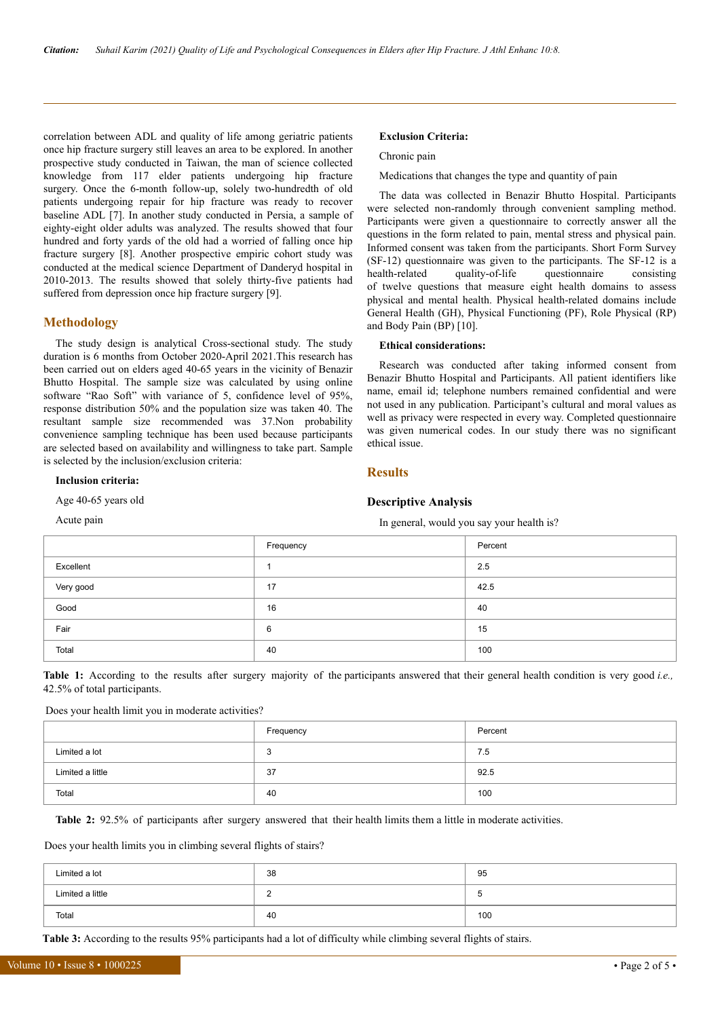correlation between ADL and quality of life among geriatric patients once hip fracture surgery still leaves an area to be explored. In another prospective study conducted in Taiwan, the man of science collected knowledge from 117 elder patients undergoing hip fracture surgery. Once the 6-month follow-up, solely two-hundredth of old patients undergoing repair for hip fracture was ready to recover baseline ADL [7]. In another study conducted in Persia, a sample of eighty-eight older adults was analyzed. The results showed that four hundred and forty yards of the old had a worried of falling once hip fracture surgery [8]. Another prospective empiric cohort study was conducted at the medical science Department of Danderyd hospital in 2010-2013. The results showed that solely thirty-five patients had suffered from depression once hip fracture surgery [9].

#### **Methodology**

The study design is analytical Cross-sectional study. The study duration is 6 months from October 2020-April 2021.This research has been carried out on elders aged 40-65 years in the vicinity of Benazir Bhutto Hospital. The sample size was calculated by using online software "Rao Soft" with variance of 5, confidence level of 95%, response distribution 50% and the population size was taken 40. The resultant sample size recommended was 37.Non probability convenience sampling technique has been used because participants are selected based on availability and willingness to take part. Sample is selected by the inclusion/exclusion criteria:

#### **Inclusion criteria:**

Age 40-65 years old

Acute pain

#### **Exclusion Criteria:**

Chronic pain

Medications that changes the type and quantity of pain

The data was collected in Benazir Bhutto Hospital. Participants were selected non-randomly through convenient sampling method. Participants were given a questionnaire to correctly answer all the questions in the form related to pain, mental stress and physical pain. Informed consent was taken from the participants. Short Form Survey (SF-12) questionnaire was given to the participants. The SF-12 is a health-related quality-of-life questionnaire consisting of twelve questions that measure eight health domains to assess physical and mental health. Physical health-related domains include General Health (GH), Physical Functioning (PF), Role Physical (RP) and Body Pain (BP) [10].

#### **Ethical considerations:**

Research was conducted after taking informed consent from Benazir Bhutto Hospital and Participants. All patient identifiers like name, email id; telephone numbers remained confidential and were not used in any publication. Participant's cultural and moral values as well as privacy were respected in every way. Completed questionnaire was given numerical codes. In our study there was no significant ethical issue.

### **Results**

#### **Descriptive Analysis**

In general, would you say your health is?

|           | Frequency | Percent |
|-----------|-----------|---------|
| Excellent |           | 2.5     |
| Very good | 17        | 42.5    |
| Good      | 16        | 40      |
| Fair      | 6         | 15      |
| Total     | 40        | 100     |

**Table 1:** According to the results after surgery majority of the participants answered that their general health condition is very good *i.e.,* 42.5% of total participants.

#### Does your health limit you in moderate activities?

|                  | Frequency | Percent |
|------------------|-----------|---------|
| Limited a lot    | -3        | 7.5     |
| Limited a little | -37       | 92.5    |
| Total            | 40        | 100     |

**Table 2:** 92.5% of participants after surgery answered that their health limits them a little in moderate activities.

Does your health limits you in climbing several flights of stairs?

| Limited a lot    | 38 | 95  |
|------------------|----|-----|
| Limited a little |    | u   |
| Total            | 40 | 100 |

**Table 3:** According to the results 95% participants had a lot of difficulty while climbing several flights of stairs.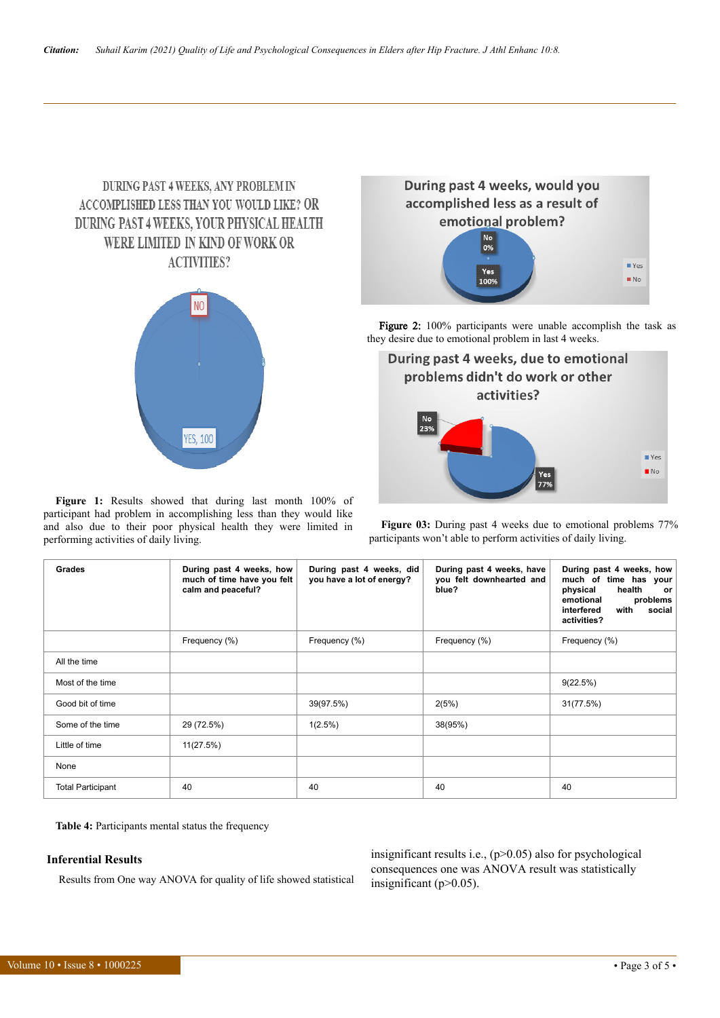# **DURING PAST 4 WEEKS, ANY PROBLEM IN** ACCOMPLISHED LESS THAN YOU WOULD LIKE? OR DURING PAST 4 WEEKS, YOUR PHYSICAL HEALTH WERE LIMITED IN KIND OF WORK OR **ACTIVITIES?**



**Figure 1:** Results showed that during last month 100% of participant had problem in accomplishing less than they would like and also due to their poor physical health they were limited in performing activities of daily living.



Figure 2: 100% participants were unable accomplish the task as they desire due to emotional problem in last 4 weeks.



**Figure 03:** During past 4 weeks due to emotional problems 77% participants won't able to perform activities of daily living.

| <b>Grades</b>            | During past 4 weeks, how<br>much of time have you felt<br>calm and peaceful? | During past 4 weeks, did<br>you have a lot of energy? | During past 4 weeks, have<br>you felt downhearted and<br>blue? | During past 4 weeks, how<br>much of time has your<br>health<br>physical<br>or<br>problems<br>emotional<br>social<br>interfered<br>with<br>activities? |
|--------------------------|------------------------------------------------------------------------------|-------------------------------------------------------|----------------------------------------------------------------|-------------------------------------------------------------------------------------------------------------------------------------------------------|
|                          | Frequency (%)                                                                | Frequency (%)                                         | Frequency (%)                                                  | Frequency (%)                                                                                                                                         |
| All the time             |                                                                              |                                                       |                                                                |                                                                                                                                                       |
| Most of the time         |                                                                              |                                                       |                                                                | 9(22.5%)                                                                                                                                              |
| Good bit of time         |                                                                              | 39(97.5%)                                             | 2(5%)                                                          | 31(77.5%)                                                                                                                                             |
| Some of the time         | 29 (72.5%)                                                                   | $1(2.5\%)$                                            | 38(95%)                                                        |                                                                                                                                                       |
| Little of time           | 11(27.5%)                                                                    |                                                       |                                                                |                                                                                                                                                       |
| None                     |                                                                              |                                                       |                                                                |                                                                                                                                                       |
| <b>Total Participant</b> | 40                                                                           | 40                                                    | 40                                                             | 40                                                                                                                                                    |

**Table 4:** Participants mental status the frequency

# **Inferential Results**

Results from One way ANOVA for quality of life showed statistical

insignificant results i.e.,  $(p>0.05)$  also for psychological consequences one was ANOVA result was statistically insignificant (p>0.05).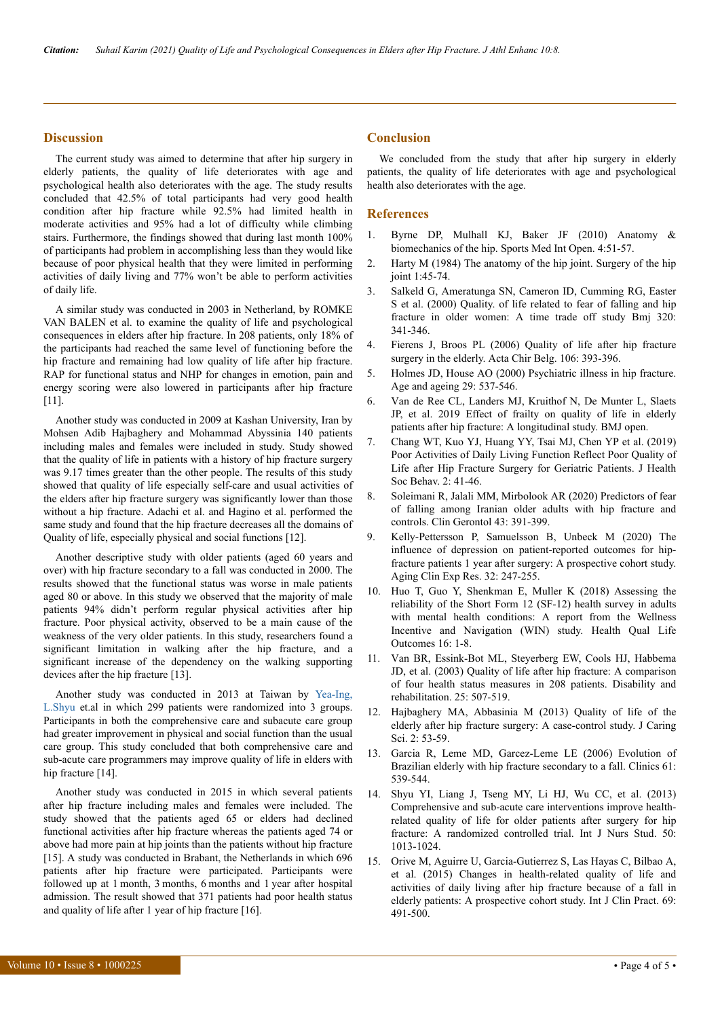#### **Discussion**

The current study was aimed to determine that after hip surgery in elderly patients, the quality of life deteriorates with age and psychological health also deteriorates with the age. The study results concluded that 42.5% of total participants had very good health condition after hip fracture while 92.5% had limited health in moderate activities and 95% had a lot of difficulty while climbing stairs. Furthermore, the findings showed that during last month 100% of participants had problem in accomplishing less than they would like because of poor physical health that they were limited in performing activities of daily living and 77% won't be able to perform activities of daily life.

A similar study was conducted in 2003 in Netherland, by ROMKE VAN BALEN et al. to examine the quality of life and psychological consequences in elders after hip fracture. In 208 patients, only 18% of the participants had reached the same level of functioning before the hip fracture and remaining had low quality of life after hip fracture. RAP for functional status and NHP for changes in emotion, pain and energy scoring were also lowered in participants after hip fracture [11].

Another study was conducted in 2009 at Kashan University, Iran by Mohsen Adib Hajbaghery and Mohammad Abyssinia 140 patients including males and females were included in study. Study showed that the quality of life in patients with a history of hip fracture surgery was 9.17 times greater than the other people. The results of this study showed that quality of life especially self-care and usual activities of the elders after hip fracture surgery was significantly lower than those without a hip fracture. Adachi et al. and Hagino et al. performed the same study and found that the hip fracture decreases all the domains of Quality of life, especially physical and social functions [12].

Another descriptive study with older patients (aged 60 years and over) with hip fracture secondary to a fall was conducted in 2000. The results showed that the functional status was worse in male patients aged 80 or above. In this study we observed that the majority of male patients 94% didn't perform regular physical activities after hip fracture. Poor physical activity, observed to be a main cause of the weakness of the very older patients. In this study, researchers found a significant limitation in walking after the hip fracture, and a significant increase of the dependency on the walking supporting devices after the hip fracture [13].

Another study was conducted in 2013 at Taiwan by [Yea-Ing,](https://www.sciencedirect.com/science/article/abs/pii/S0020748912004221) [L.Shyu](https://www.sciencedirect.com/science/article/abs/pii/S0020748912004221) et.al in which 299 patients were randomized into 3 groups. Participants in both the comprehensive care and subacute care group had greater improvement in physical and social function than the usual care group. This study concluded that both comprehensive care and sub-acute care programmers may improve quality of life in elders with hip fracture [14].

Another study was conducted in 2015 in which several patients after hip fracture including males and females were included. The study showed that the patients aged 65 or elders had declined functional activities after hip fracture whereas the patients aged 74 or above had more pain at hip joints than the patients without hip fracture [15]. A study was conducted in Brabant, the Netherlands in which 696 patients after hip fracture were participated. Participants were followed up at 1 month, 3 months, 6 months and 1 year after hospital admission. The result showed that 371 patients had poor health status and quality of life after 1 year of hip fracture [16].

# **Conclusion**

We concluded from the study that after hip surgery in elderly patients, the quality of life deteriorates with age and psychological health also deteriorates with the age.

#### **References**

- 1. [Byrne DP, Mulhall KJ, Baker JF \(2010\) Anatomy &](https://benthamopen.com/contents/pdf/TOSMJ/TOSMJ-4-51.pdf) [biomechanics of the hip. Sports Med Int Open. 4:51-57.](https://benthamopen.com/contents/pdf/TOSMJ/TOSMJ-4-51.pdf)
- 2. [Harty M \(1984\) The anatomy of the hip joint. Surgery of the hip](https://link.springer.com/chapter/10.1007/978-1-4612-5224-5_3) [joint 1:45-74.](https://link.springer.com/chapter/10.1007/978-1-4612-5224-5_3)
- 3. [Salkeld G, Ameratunga SN, Cameron ID, Cumming RG, Easter](https://www.bmj.com/content/320/7231/341) [S et al. \(2000\) Quality. of life related to fear of falling and hip](https://www.bmj.com/content/320/7231/341) [fracture in older women: A time trade off study Bmj 320:](https://www.bmj.com/content/320/7231/341) [341-346.](https://www.bmj.com/content/320/7231/341)
- 4. [Fierens J, Broos PL \(2006\) Quality of life after hip fracture](https://www.tandfonline.com/doi/abs/10.1080/00015458.2006.11679913) [surgery in the elderly. Acta Chir Belg. 106: 393-396.](https://www.tandfonline.com/doi/abs/10.1080/00015458.2006.11679913)
- 5. [Holmes JD, House AO \(2000\) Psychiatric illness in hip fracture.](https://academic.oup.com/ageing/article/29/6/537/39609) [Age and ageing 29: 537-546.](https://academic.oup.com/ageing/article/29/6/537/39609)
- 6. Van de Ree CL, Landers MJ, Kruithof N, De Munter L, Slaets JP, et al. 2019 Effect of frailty on quality of life in elderly patients after hip fracture: A longitudinal study. BMJ open.
- 7. [Chang WT, Kuo YJ, Huang YY, Tsai MJ, Chen YP et al. \(2019\)](https://www.shbonweb.com/article.asp?issn=2589-9767;year=2019;volume=2;issue=2;spage=41;epage=46;aulast=Chang) [Poor Activities of Daily Living Function Reflect Poor Quality of](https://www.shbonweb.com/article.asp?issn=2589-9767;year=2019;volume=2;issue=2;spage=41;epage=46;aulast=Chang) [Life after Hip Fracture Surgery for Geriatric Patients. J Health](https://www.shbonweb.com/article.asp?issn=2589-9767;year=2019;volume=2;issue=2;spage=41;epage=46;aulast=Chang) [Soc Behav. 2: 41-46.](https://www.shbonweb.com/article.asp?issn=2589-9767;year=2019;volume=2;issue=2;spage=41;epage=46;aulast=Chang)
- 8. [Soleimani R, Jalali MM, Mirbolook AR \(2020\) Predictors of fear](https://www.tandfonline.com/doi/abs/10.1080/07317115.2019.1704958?journalCode=wcli20) [of falling among Iranian older adults with hip fracture and](https://www.tandfonline.com/doi/abs/10.1080/07317115.2019.1704958?journalCode=wcli20) [controls. Clin Gerontol 43: 391-399.](https://www.tandfonline.com/doi/abs/10.1080/07317115.2019.1704958?journalCode=wcli20)
- 9. [Kelly-Pettersson P, Samuelsson B, Unbeck M \(2020\) The](https://jglobal.jst.go.jp/en/detail?JGLOBAL_ID=202002266765946170) [influence of depression on patient-reported outcomes for hip](https://jglobal.jst.go.jp/en/detail?JGLOBAL_ID=202002266765946170)[fracture patients 1 year after surgery: A prospective cohort study.](https://jglobal.jst.go.jp/en/detail?JGLOBAL_ID=202002266765946170) [Aging Clin Exp Res. 32: 247-255.](https://jglobal.jst.go.jp/en/detail?JGLOBAL_ID=202002266765946170)
- 10. [Huo T, Guo Y, Shenkman E, Muller K \(2018\) Assessing the](https://hqlo.biomedcentral.com/articles/10.1186/s12955-018-0858-2) [reliability of the Short Form 12 \(SF-12\) health survey in adults](https://hqlo.biomedcentral.com/articles/10.1186/s12955-018-0858-2) [with mental health conditions: A report from the Wellness](https://hqlo.biomedcentral.com/articles/10.1186/s12955-018-0858-2) [Incentive and Navigation \(WIN\) study. Health Qual Life](https://hqlo.biomedcentral.com/articles/10.1186/s12955-018-0858-2) [Outcomes 16: 1-8.](https://hqlo.biomedcentral.com/articles/10.1186/s12955-018-0858-2)
- 11. [Van BR, Essink-Bot ML, Steyerberg EW, Cools HJ, Habbema](https://www.tandfonline.com/doi/abs/10.1080/0963828031000090443) [JD, et al. \(2003\) Quality of life after hip fracture: A comparison](https://www.tandfonline.com/doi/abs/10.1080/0963828031000090443) [of four health status measures in 208 patients. Disability and](https://www.tandfonline.com/doi/abs/10.1080/0963828031000090443) [rehabilitation. 25: 507-519.](https://www.tandfonline.com/doi/abs/10.1080/0963828031000090443)
- 12. [Hajbaghery MA, Abbasinia M \(2013\) Quality of life of the](https://jcs.tbzmed.ac.ir/Article/JCS_20130226120907) [elderly after hip fracture surgery: A case-control study. J Caring](https://jcs.tbzmed.ac.ir/Article/JCS_20130226120907) [Sci. 2: 53-59.](https://jcs.tbzmed.ac.ir/Article/JCS_20130226120907)
- 13. [Garcia R, Leme MD, Garcez-Leme LE \(2006\) Evolution of](https://www.scielo.br/j/clin/a/TZHRqNChdXRsT88xwBCNLBL/?lang=en) [Brazilian elderly with hip fracture secondary to a fall. Clinics 61:](https://www.scielo.br/j/clin/a/TZHRqNChdXRsT88xwBCNLBL/?lang=en) [539-544.](https://www.scielo.br/j/clin/a/TZHRqNChdXRsT88xwBCNLBL/?lang=en)
- 14. [Shyu YI, Liang J, Tseng MY, Li HJ, Wu CC, et al. \(2013\)](https://www.cochranelibrary.com/central/doi/10.1002/central/CN-00979421/related-content) [Comprehensive and sub-acute care interventions improve health](https://www.cochranelibrary.com/central/doi/10.1002/central/CN-00979421/related-content)[related quality of life for older patients after surgery for hip](https://www.cochranelibrary.com/central/doi/10.1002/central/CN-00979421/related-content) [fracture: A randomized controlled trial. Int J Nurs Stud. 50:](https://www.cochranelibrary.com/central/doi/10.1002/central/CN-00979421/related-content) [1013-1024.](https://www.cochranelibrary.com/central/doi/10.1002/central/CN-00979421/related-content)
- 15. [Orive M, Aguirre U, Garcia‐Gutierrez S, Las Hayas C, Bilbao A,](https://onlinelibrary.wiley.com/doi/10.1111/ijcp.12527) [et al. \(2015\) Changes in health‐related quality of life and](https://onlinelibrary.wiley.com/doi/10.1111/ijcp.12527) [activities of daily living after hip fracture because of a fall in](https://onlinelibrary.wiley.com/doi/10.1111/ijcp.12527) [elderly patients: A prospective cohort study. Int J Clin Pract. 69:](https://onlinelibrary.wiley.com/doi/10.1111/ijcp.12527) [491-500.](https://onlinelibrary.wiley.com/doi/10.1111/ijcp.12527)